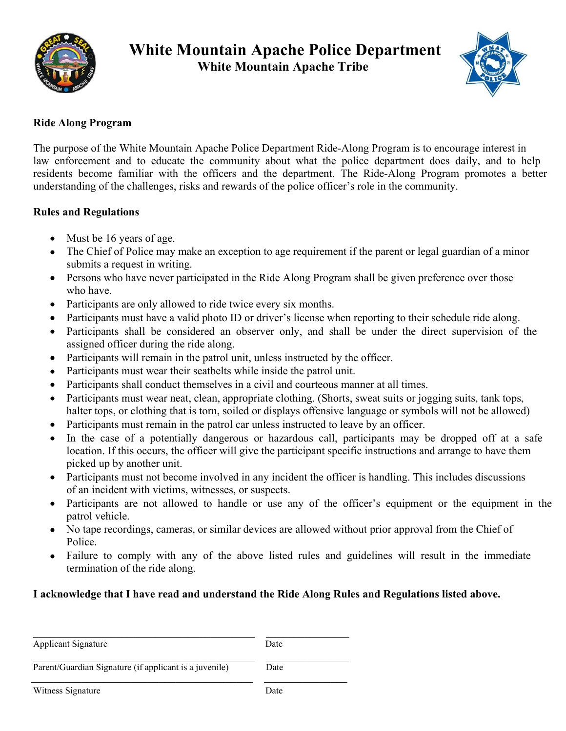

# **White Mountain Apache Police Department White Mountain Apache Tribe**



### **Ride Along Program**

The purpose of the White Mountain Apache Police Department Ride-Along Program is to encourage interest in law enforcement and to educate the community about what the police department does daily, and to help residents become familiar with the officers and the department. The Ride-Along Program promotes a better understanding of the challenges, risks and rewards of the police officer's role in the community.

### **Rules and Regulations**

- Must be 16 years of age.
- The Chief of Police may make an exception to age requirement if the parent or legal guardian of a minor submits a request in writing.
- Persons who have never participated in the Ride Along Program shall be given preference over those who have.
- Participants are only allowed to ride twice every six months.
- Participants must have a valid photo ID or driver's license when reporting to their schedule ride along.
- Participants shall be considered an observer only, and shall be under the direct supervision of the assigned officer during the ride along.
- Participants will remain in the patrol unit, unless instructed by the officer.
- Participants must wear their seatbelts while inside the patrol unit.
- Participants shall conduct themselves in a civil and courteous manner at all times.
- Participants must wear neat, clean, appropriate clothing. (Shorts, sweat suits or jogging suits, tank tops, halter tops, or clothing that is torn, soiled or displays offensive language or symbols will not be allowed)
- Participants must remain in the patrol car unless instructed to leave by an officer.
- In the case of a potentially dangerous or hazardous call, participants may be dropped off at a safe location. If this occurs, the officer will give the participant specific instructions and arrange to have them picked up by another unit.
- Participants must not become involved in any incident the officer is handling. This includes discussions of an incident with victims, witnesses, or suspects.
- Participants are not allowed to handle or use any of the officer's equipment or the equipment in the patrol vehicle.
- No tape recordings, cameras, or similar devices are allowed without prior approval from the Chief of Police.
- Failure to comply with any of the above listed rules and guidelines will result in the immediate termination of the ride along.

#### **I acknowledge that I have read and understand the Ride Along Rules and Regulations listed above.**

| <b>Applicant Signature</b>                             | Date |
|--------------------------------------------------------|------|
| Parent/Guardian Signature (if applicant is a juvenile) | Date |
| Witness Signature                                      | Date |